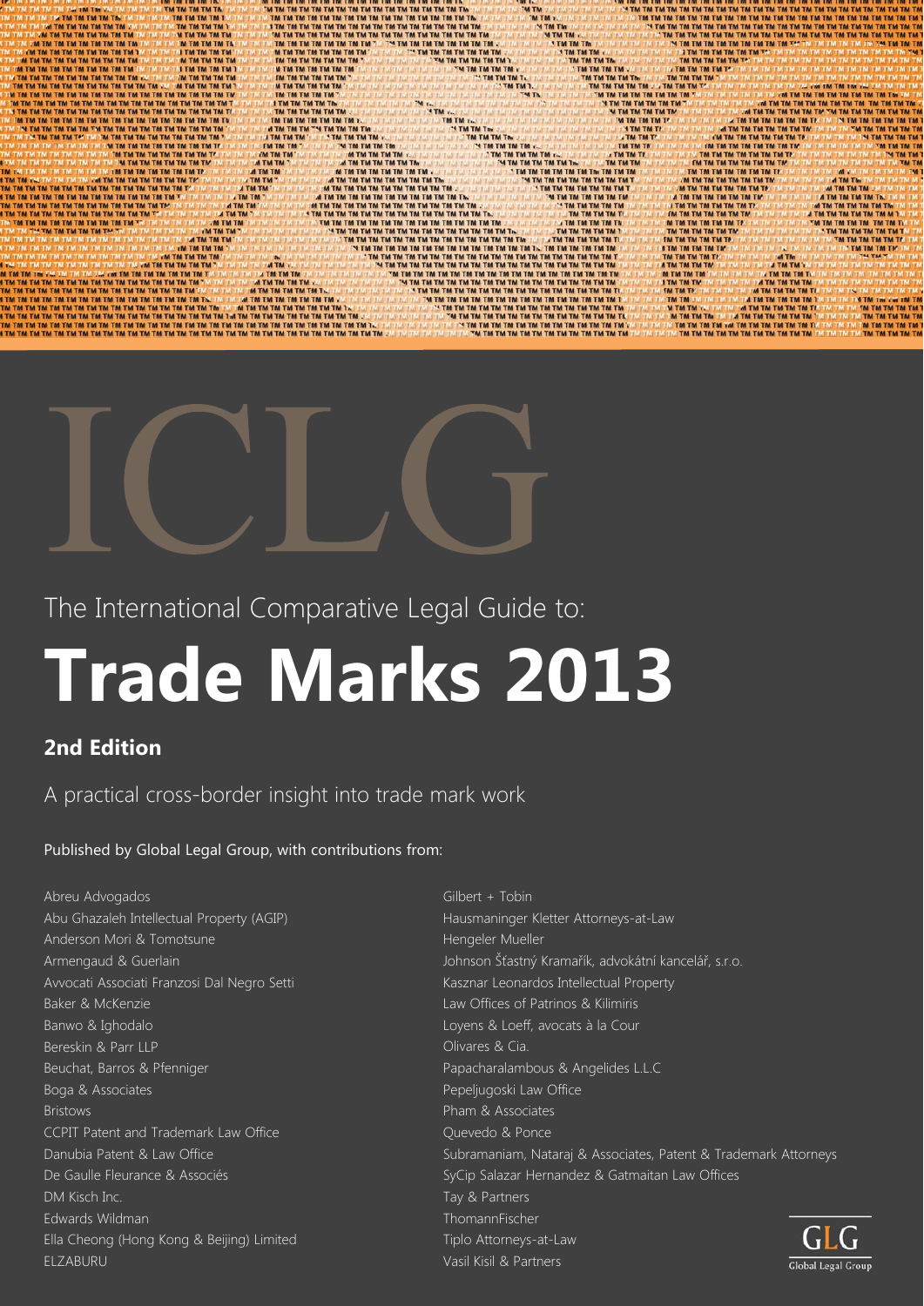



The International Comparative Legal Guide to:

# **Trade Marks 2013**

# **2nd Edition**

A practical cross-border insight into trade mark work

# Published by Global Legal Group, with contributions from:

- Abreu Advogados Abu Ghazaleh Intellectual Property (AGIP) Anderson Mori & Tomotsune Armengaud & Guerlain Avvocati Associati Franzosi Dal Negro Setti Baker & McKenzie Banwo & Ighodalo Bereskin & Parr LLP Beuchat, Barros & Pfenniger Boga & Associates Bristows CCPIT Patent and Trademark Law Office Danubia Patent & Law Office De Gaulle Fleurance & Associés DM Kisch Inc. Edwards Wildman Ella Cheong (Hong Kong & Beijing) Limited ELZABURU
- Gilbert + Tobin Hausmaninger Kletter Attorneys-at-Law Hengeler Mueller Johnson Šťastný Kramařík, advokátní kancelář, s.r.o. Kasznar Leonardos Intellectual Property Law Offices of Patrinos & Kilimiris Loyens & Loeff, avocats à la Cour Olivares & Cia. Papacharalambous & Angelides L.L.C Pepeljugoski Law Office Pham & Associates Quevedo & Ponce Subramaniam, Nataraj & Associates, Patent & Trademark Attorneys SyCip Salazar Hernandez & Gatmaitan Law Offices Tay & Partners ThomannFischer Tiplo Attorneys-at-Law Vasil Kisil & Partners

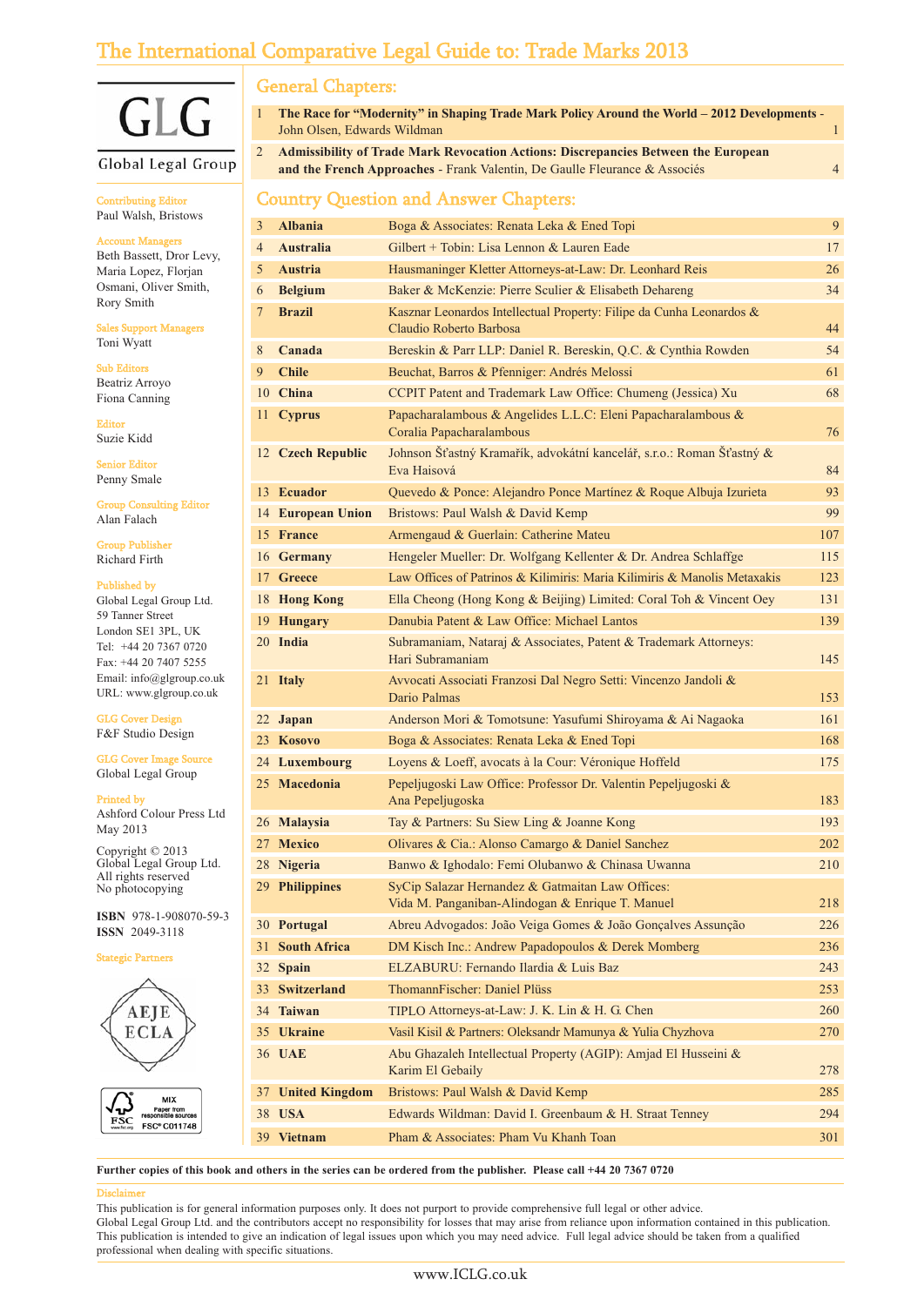# The International Comparative Legal Guide to: Trade Marks 2013

# $\overline{|\cdot|}$  $\mathbf{G}$

#### Global Legal Group

Contributing Editor Paul Walsh, Bristows

#### Account Managers

Beth Bassett, Dror Levy, Maria Lopez, Florjan Osmani, Oliver Smith, Rory Smith

Sales Support Managers Toni Wyatt

Sub Editors Beatriz Arroyo Fiona Canning

Editor Suzie Kidd

Senior Editor Penny Smale

Group Consulting Editor Alan Falach

Group Publisher Richard Firth

#### Published by

Global Legal Group Ltd. 59 Tanner Street London SE1 3PL, UK Tel: +44 20 7367 0720 Fax: +44 20 7407 5255 Email: info@glgroup.co.uk URL: www.glgroup.co.uk

GLG Cover Design F&F Studio Design

GLG Cover Image Source Global Legal Group

#### Printed by

Ashford Colour Press Ltd May 2013

Copyright © 2013 Global Legal Group Ltd. All rights reserved No photocopying

**ISBN** 978-1-908070-59-3 **ISSN** 2049-3118

gic Part





## General Chapters:

| The Race for "Modernity" in Shaping Trade Mark Policy Around the World – 2012 Developments -<br>John Olsen, Edwards Wildman |  |
|-----------------------------------------------------------------------------------------------------------------------------|--|
| 2 Admissibility of Trade Mark Revocation Actions: Discrepancies Between the European                                        |  |

**and the French Approaches** - Frank Valentin, De Gaulle Fleurance & Associés 4

# Country Question and Answer Chapters:

| 3  | <b>Albania</b>      | Boga & Associates: Renata Leka & Ened Topi                                                           | 9   |
|----|---------------------|------------------------------------------------------------------------------------------------------|-----|
| 4  | <b>Australia</b>    | Gilbert + Tobin: Lisa Lennon & Lauren Eade                                                           | 17  |
| 5  | Austria             | Hausmaninger Kletter Attorneys-at-Law: Dr. Leonhard Reis                                             | 26  |
| 6  | <b>Belgium</b>      | Baker & McKenzie: Pierre Sculier & Elisabeth Dehareng                                                | 34  |
| 7  | <b>Brazil</b>       | Kasznar Leonardos Intellectual Property: Filipe da Cunha Leonardos &<br>Claudio Roberto Barbosa      | 44  |
| 8  | Canada              | Bereskin & Parr LLP: Daniel R. Bereskin, Q.C. & Cynthia Rowden                                       | 54  |
| 9  | <b>Chile</b>        | Beuchat, Barros & Pfenniger: Andrés Melossi                                                          | 61  |
|    | 10 China            | CCPIT Patent and Trademark Law Office: Chumeng (Jessica) Xu                                          | 68  |
|    | 11 Cyprus           | Papacharalambous & Angelides L.L.C: Eleni Papacharalambous &<br>Coralia Papacharalambous             | 76  |
|    | 12 Czech Republic   | Johnson Šťastný Kramařík, advokátní kancelář, s.r.o.: Roman Šťastný &<br>Eva Haisová                 | 84  |
|    | 13 Ecuador          | Quevedo & Ponce: Alejandro Ponce Martínez & Roque Albuja Izurieta                                    | 93  |
|    | 14 European Union   | Bristows: Paul Walsh & David Kemp                                                                    | 99  |
|    | 15 France           | Armengaud & Guerlain: Catherine Mateu                                                                | 107 |
|    | 16 Germany          | Hengeler Mueller: Dr. Wolfgang Kellenter & Dr. Andrea Schlaffge                                      | 115 |
|    | 17 Greece           | Law Offices of Patrinos & Kilimiris: Maria Kilimiris & Manolis Metaxakis                             | 123 |
|    | 18 Hong Kong        | Ella Cheong (Hong Kong & Beijing) Limited: Coral Toh & Vincent Oey                                   | 131 |
|    | 19 Hungary          | Danubia Patent & Law Office: Michael Lantos                                                          | 139 |
|    | 20 India            | Subramaniam, Nataraj & Associates, Patent & Trademark Attorneys:<br>Hari Subramaniam                 | 145 |
|    | 21 Italy            | Avvocati Associati Franzosi Dal Negro Setti: Vincenzo Jandoli &<br>Dario Palmas                      | 153 |
|    | 22 Japan            | Anderson Mori & Tomotsune: Yasufumi Shiroyama & Ai Nagaoka                                           | 161 |
|    | 23 Kosovo           | Boga & Associates: Renata Leka & Ened Topi                                                           | 168 |
|    | 24 Luxembourg       | Loyens & Loeff, avocats à la Cour: Véronique Hoffeld                                                 | 175 |
|    | 25 Macedonia        | Pepeljugoski Law Office: Professor Dr. Valentin Pepeljugoski &<br>Ana Pepeljugoska                   | 183 |
|    | 26 Malaysia         | Tay & Partners: Su Siew Ling & Joanne Kong                                                           | 193 |
|    | 27 Mexico           | Olivares & Cia.: Alonso Camargo & Daniel Sanchez                                                     | 202 |
|    | 28 Nigeria          | Banwo & Ighodalo: Femi Olubanwo & Chinasa Uwanna                                                     | 210 |
|    | 29 Philippines      | SyCip Salazar Hernandez & Gatmaitan Law Offices:<br>Vida M. Panganiban-Alindogan & Enrique T. Manuel | 218 |
|    | 30 Portugal         | Abreu Advogados: João Veiga Gomes & João Gonçalves Assunção                                          | 226 |
| 31 | <b>South Africa</b> | DM Kisch Inc.: Andrew Papadopoulos & Derek Momberg                                                   | 236 |
|    | 32 Spain            | ELZABURU: Fernando Ilardia & Luis Baz                                                                | 243 |
|    | 33 Switzerland      | ThomannFischer: Daniel Plüss                                                                         | 253 |
|    | 34 Taiwan           | TIPLO Attorneys-at-Law: J. K. Lin & H. G. Chen                                                       | 260 |
|    | 35 Ukraine          | Vasil Kisil & Partners: Oleksandr Mamunya & Yulia Chyzhova                                           | 270 |
|    | 36 UAE              | Abu Ghazaleh Intellectual Property (AGIP): Amjad El Husseini &<br>Karim El Gebaily                   | 278 |
|    | 37 United Kingdom   | Bristows: Paul Walsh & David Kemp                                                                    | 285 |
|    | 38 USA              | Edwards Wildman: David I. Greenbaum & H. Straat Tenney                                               | 294 |
|    | 39 Vietnam          | Pham & Associates: Pham Vu Khanh Toan                                                                | 301 |

**Further copies of this book and others in the series can be ordered from the publisher. Please call +44 20 7367 0720**

#### Disclaimer

This publication is for general information purposes only. It does not purport to provide comprehensive full legal or other advice.

Global Legal Group Ltd. and the contributors accept no responsibility for losses that may arise from reliance upon information contained in this publication. This publication is intended to give an indication of legal issues upon which you may need advice. Full legal advice should be taken from a qualified professional when dealing with specific situations.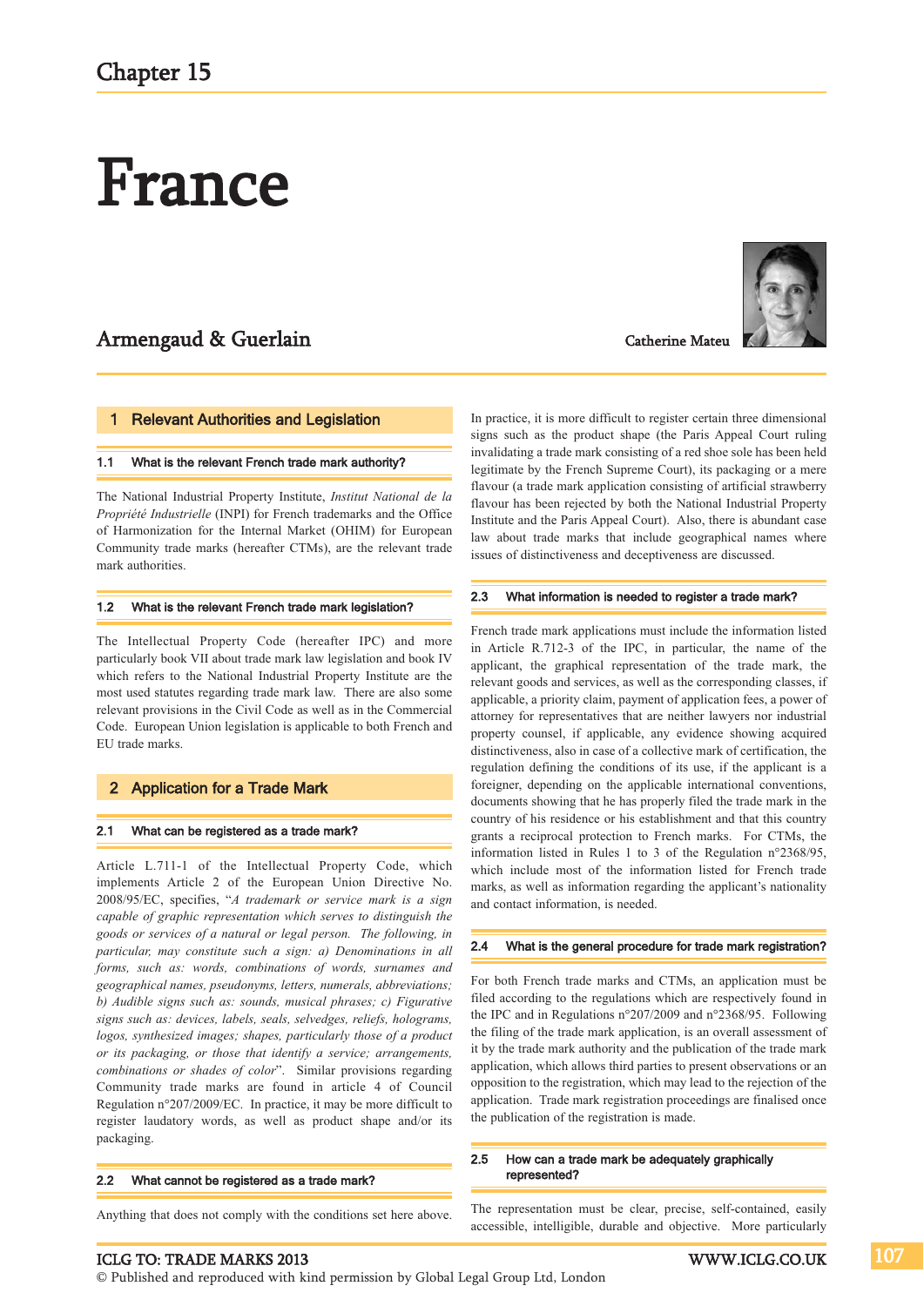# France

# Armengaud & Guerlain

#### 1 Relevant Authorities and Legislation

#### 1.1 What is the relevant French trade mark authority?

The National Industrial Property Institute, *Institut National de la Propriété Industrielle* (INPI) for French trademarks and the Office of Harmonization for the Internal Market (OHIM) for European Community trade marks (hereafter CTMs), are the relevant trade mark authorities.

#### 1.2 What is the relevant French trade mark legislation?

The Intellectual Property Code (hereafter IPC) and more particularly book VII about trade mark law legislation and book IV which refers to the National Industrial Property Institute are the most used statutes regarding trade mark law. There are also some relevant provisions in the Civil Code as well as in the Commercial Code. European Union legislation is applicable to both French and EU trade marks.

#### 2 Application for a Trade Mark

#### 2.1 What can be registered as a trade mark?

Article L.711-1 of the Intellectual Property Code, which implements Article 2 of the European Union Directive No. 2008/95/EC, specifies, "*A trademark or service mark is a sign capable of graphic representation which serves to distinguish the goods or services of a natural or legal person. The following, in particular, may constitute such a sign: a) Denominations in all forms, such as: words, combinations of words, surnames and geographical names, pseudonyms, letters, numerals, abbreviations; b) Audible signs such as: sounds, musical phrases; c) Figurative signs such as: devices, labels, seals, selvedges, reliefs, holograms, logos, synthesized images; shapes, particularly those of a product or its packaging, or those that identify a service; arrangements, combinations or shades of color*". Similar provisions regarding Community trade marks are found in article 4 of Council Regulation n°207/2009/EC. In practice, it may be more difficult to register laudatory words, as well as product shape and/or its packaging.

#### 2.2 What cannot be registered as a trade mark?

Anything that does not comply with the conditions set here above.



In practice, it is more difficult to register certain three dimensional signs such as the product shape (the Paris Appeal Court ruling invalidating a trade mark consisting of a red shoe sole has been held legitimate by the French Supreme Court), its packaging or a mere flavour (a trade mark application consisting of artificial strawberry flavour has been rejected by both the National Industrial Property Institute and the Paris Appeal Court). Also, there is abundant case law about trade marks that include geographical names where issues of distinctiveness and deceptiveness are discussed.

Catherine Mateu

#### 2.3 What information is needed to register a trade mark?

French trade mark applications must include the information listed in Article R.712-3 of the IPC, in particular, the name of the applicant, the graphical representation of the trade mark, the relevant goods and services, as well as the corresponding classes, if applicable, a priority claim, payment of application fees, a power of attorney for representatives that are neither lawyers nor industrial property counsel, if applicable, any evidence showing acquired distinctiveness, also in case of a collective mark of certification, the regulation defining the conditions of its use, if the applicant is a foreigner, depending on the applicable international conventions, documents showing that he has properly filed the trade mark in the country of his residence or his establishment and that this country grants a reciprocal protection to French marks. For CTMs, the information listed in Rules 1 to 3 of the Regulation n°2368/95, which include most of the information listed for French trade marks, as well as information regarding the applicant's nationality and contact information, is needed.

#### 2.4 What is the general procedure for trade mark registration?

For both French trade marks and CTMs, an application must be filed according to the regulations which are respectively found in the IPC and in Regulations n°207/2009 and n°2368/95. Following the filing of the trade mark application, is an overall assessment of it by the trade mark authority and the publication of the trade mark application, which allows third parties to present observations or an opposition to the registration, which may lead to the rejection of the application. Trade mark registration proceedings are finalised once the publication of the registration is made.

#### 2.5 How can a trade mark be adequately graphically represented?

The representation must be clear, precise, self-contained, easily accessible, intelligible, durable and objective. More particularly

#### ICLG TO: TRADE MARKS 2013 WWW.ICLG.CO.UK

© Published and reproduced with kind permission by Global Legal Group Ltd, London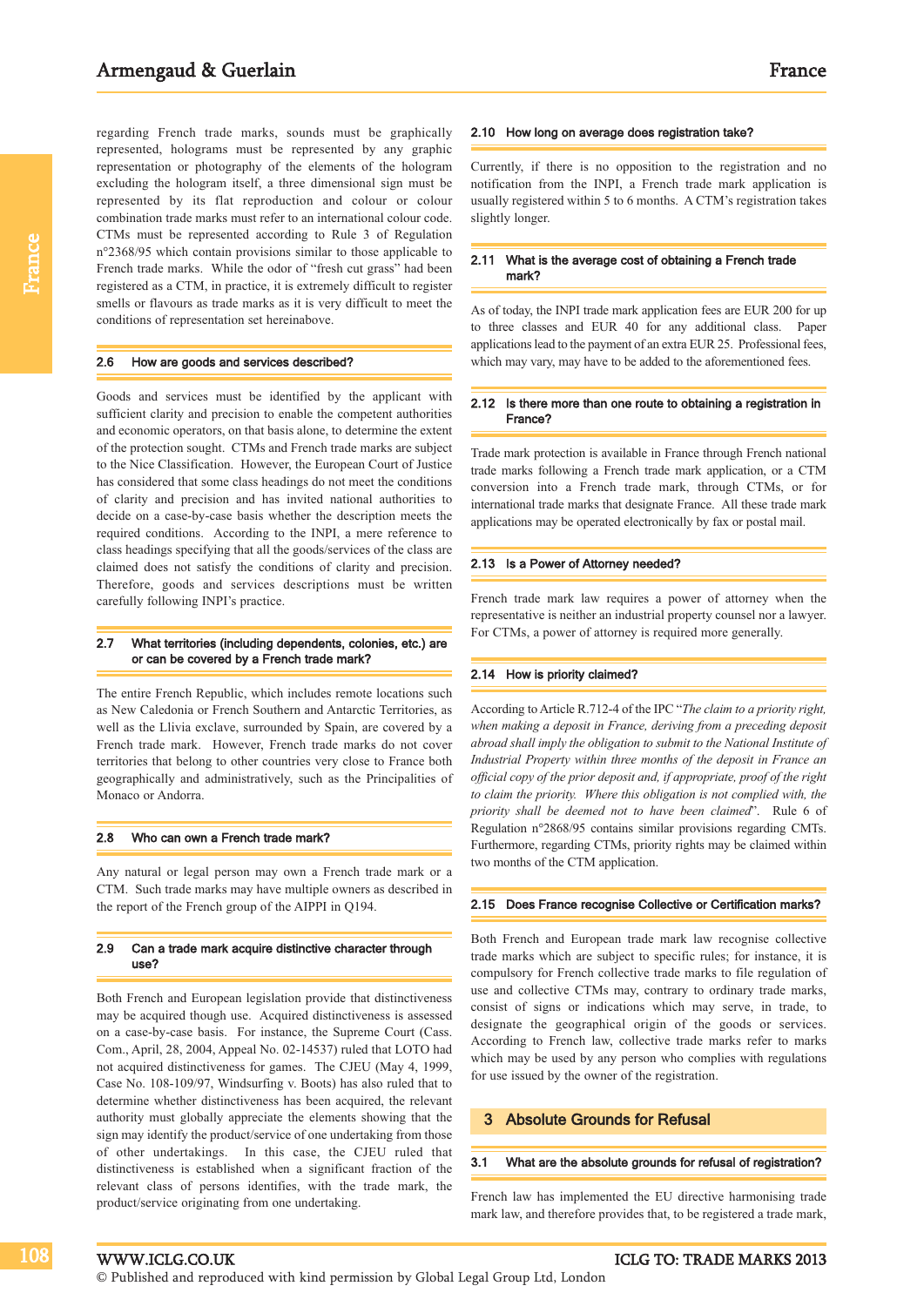regarding French trade marks, sounds must be graphically represented, holograms must be represented by any graphic representation or photography of the elements of the hologram excluding the hologram itself, a three dimensional sign must be represented by its flat reproduction and colour or colour combination trade marks must refer to an international colour code. CTMs must be represented according to Rule 3 of Regulation n°2368/95 which contain provisions similar to those applicable to French trade marks. While the odor of "fresh cut grass" had been registered as a CTM, in practice, it is extremely difficult to register smells or flavours as trade marks as it is very difficult to meet the conditions of representation set hereinabove.

#### 2.6 How are goods and services described?

Goods and services must be identified by the applicant with sufficient clarity and precision to enable the competent authorities and economic operators, on that basis alone, to determine the extent of the protection sought. CTMs and French trade marks are subject to the Nice Classification. However, the European Court of Justice has considered that some class headings do not meet the conditions of clarity and precision and has invited national authorities to decide on a case-by-case basis whether the description meets the required conditions. According to the INPI, a mere reference to class headings specifying that all the goods/services of the class are claimed does not satisfy the conditions of clarity and precision. Therefore, goods and services descriptions must be written carefully following INPI's practice.

#### 2.7 What territories (including dependents, colonies, etc.) are or can be covered by a French trade mark?

The entire French Republic, which includes remote locations such as New Caledonia or French Southern and Antarctic Territories, as well as the Llivia exclave, surrounded by Spain, are covered by a French trade mark. However, French trade marks do not cover territories that belong to other countries very close to France both geographically and administratively, such as the Principalities of Monaco or Andorra.

#### 2.8 Who can own a French trade mark?

Any natural or legal person may own a French trade mark or a CTM. Such trade marks may have multiple owners as described in the report of the French group of the AIPPI in Q194.

#### 2.9 Can a trade mark acquire distinctive character through use?

Both French and European legislation provide that distinctiveness may be acquired though use. Acquired distinctiveness is assessed on a case-by-case basis. For instance, the Supreme Court (Cass. Com., April, 28, 2004, Appeal No. 02-14537) ruled that LOTO had not acquired distinctiveness for games. The CJEU (May 4, 1999, Case No. 108-109/97, Windsurfing v. Boots) has also ruled that to determine whether distinctiveness has been acquired, the relevant authority must globally appreciate the elements showing that the sign may identify the product/service of one undertaking from those of other undertakings. In this case, the CJEU ruled that distinctiveness is established when a significant fraction of the relevant class of persons identifies, with the trade mark, the product/service originating from one undertaking.

#### 2.10 How long on average does registration take?

Currently, if there is no opposition to the registration and no notification from the INPI, a French trade mark application is usually registered within 5 to 6 months. A CTM's registration takes slightly longer.

#### 2.11 What is the average cost of obtaining a French trade mark?

As of today, the INPI trade mark application fees are EUR 200 for up to three classes and EUR 40 for any additional class. Paper applications lead to the payment of an extra EUR 25. Professional fees, which may vary, may have to be added to the aforementioned fees.

#### 2.12 Is there more than one route to obtaining a registration in France?

Trade mark protection is available in France through French national trade marks following a French trade mark application, or a CTM conversion into a French trade mark, through CTMs, or for international trade marks that designate France. All these trade mark applications may be operated electronically by fax or postal mail.

#### 2.13 Is a Power of Attorney needed?

French trade mark law requires a power of attorney when the representative is neither an industrial property counsel nor a lawyer. For CTMs, a power of attorney is required more generally.

#### 2.14 How is priority claimed?

According to Article R.712-4 of the IPC "*The claim to a priority right, when making a deposit in France, deriving from a preceding deposit abroad shall imply the obligation to submit to the National Institute of Industrial Property within three months of the deposit in France an official copy of the prior deposit and, if appropriate, proof of the right to claim the priority. Where this obligation is not complied with, the priority shall be deemed not to have been claimed*". Rule 6 of Regulation n°2868/95 contains similar provisions regarding CMTs. Furthermore, regarding CTMs, priority rights may be claimed within two months of the CTM application.

#### 2.15 Does France recognise Collective or Certification marks?

Both French and European trade mark law recognise collective trade marks which are subject to specific rules; for instance, it is compulsory for French collective trade marks to file regulation of use and collective CTMs may, contrary to ordinary trade marks, consist of signs or indications which may serve, in trade, to designate the geographical origin of the goods or services. According to French law, collective trade marks refer to marks which may be used by any person who complies with regulations for use issued by the owner of the registration.

#### 3 Absolute Grounds for Refusal

#### 3.1 What are the absolute grounds for refusal of registration?

French law has implemented the EU directive harmonising trade mark law, and therefore provides that, to be registered a trade mark,

108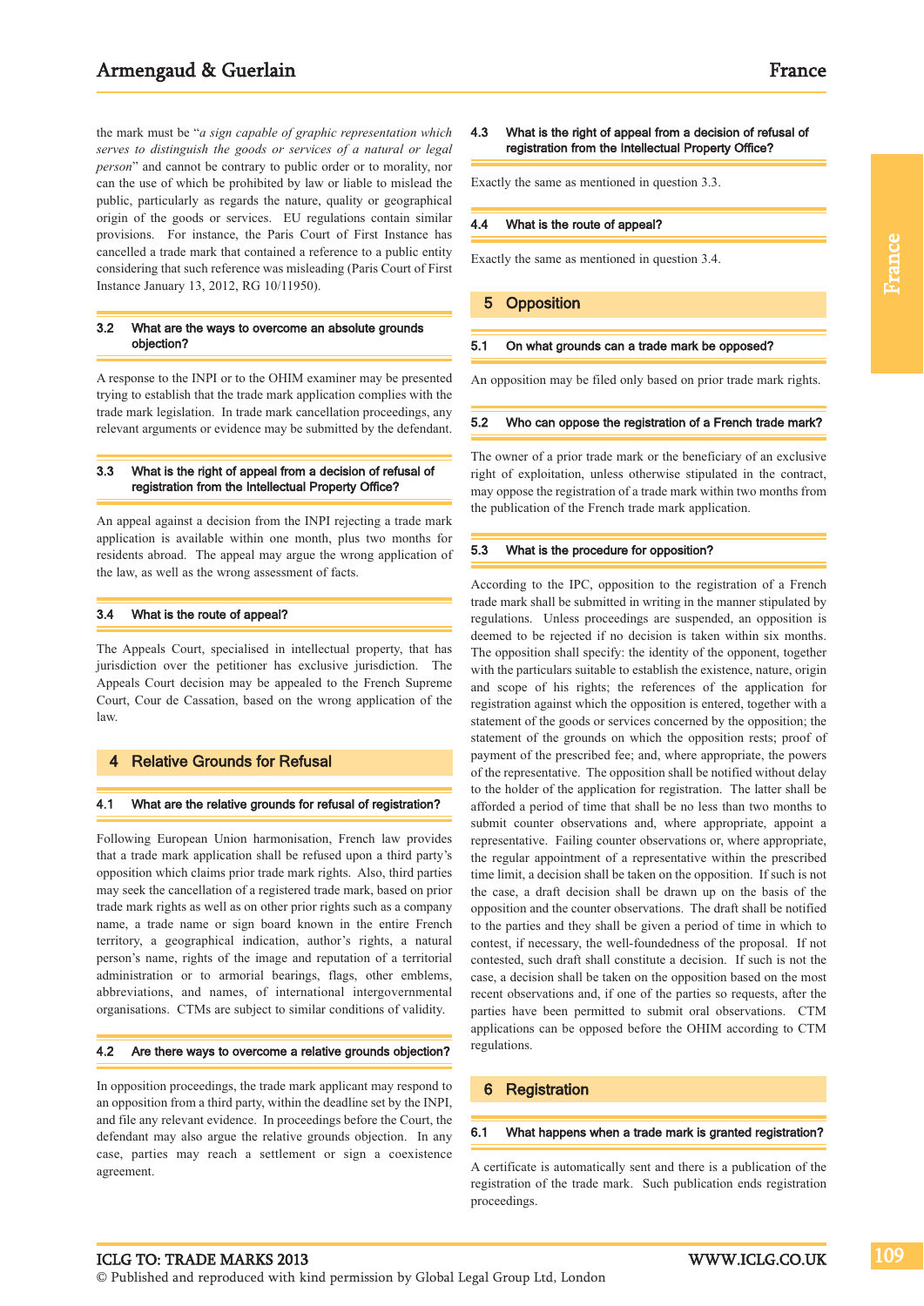# Armengaud & Guerlain France

the mark must be "*a sign capable of graphic representation which serves to distinguish the goods or services of a natural or legal person*" and cannot be contrary to public order or to morality, nor can the use of which be prohibited by law or liable to mislead the public, particularly as regards the nature, quality or geographical origin of the goods or services. EU regulations contain similar provisions. For instance, the Paris Court of First Instance has cancelled a trade mark that contained a reference to a public entity considering that such reference was misleading (Paris Court of First Instance January 13, 2012, RG 10/11950).

#### 3.2 What are the ways to overcome an absolute grounds objection?

A response to the INPI or to the OHIM examiner may be presented trying to establish that the trade mark application complies with the trade mark legislation. In trade mark cancellation proceedings, any relevant arguments or evidence may be submitted by the defendant.

#### 3.3 What is the right of appeal from a decision of refusal of registration from the Intellectual Property Office?

An appeal against a decision from the INPI rejecting a trade mark application is available within one month, plus two months for residents abroad. The appeal may argue the wrong application of the law, as well as the wrong assessment of facts.

#### 3.4 What is the route of appeal?

The Appeals Court, specialised in intellectual property, that has jurisdiction over the petitioner has exclusive jurisdiction. The Appeals Court decision may be appealed to the French Supreme Court, Cour de Cassation, based on the wrong application of the law.

#### **Relative Grounds for Refusal**

#### 4.1 What are the relative grounds for refusal of registration?

Following European Union harmonisation, French law provides that a trade mark application shall be refused upon a third party's opposition which claims prior trade mark rights. Also, third parties may seek the cancellation of a registered trade mark, based on prior trade mark rights as well as on other prior rights such as a company name, a trade name or sign board known in the entire French territory, a geographical indication, author's rights, a natural person's name, rights of the image and reputation of a territorial administration or to armorial bearings, flags, other emblems, abbreviations, and names, of international intergovernmental organisations. CTMs are subject to similar conditions of validity.

#### 4.2 Are there ways to overcome a relative grounds objection?

In opposition proceedings, the trade mark applicant may respond to an opposition from a third party, within the deadline set by the INPI, and file any relevant evidence. In proceedings before the Court, the defendant may also argue the relative grounds objection. In any case, parties may reach a settlement or sign a coexistence agreement.

France

#### 4.3 What is the right of appeal from a decision of refusal of registration from the Intellectual Property Office?

Exactly the same as mentioned in question 3.3.

#### 4.4 What is the route of appeal?

Exactly the same as mentioned in question 3.4.

#### 5 Opposition

#### 5.1 On what grounds can a trade mark be opposed?

An opposition may be filed only based on prior trade mark rights.

#### 5.2 Who can oppose the registration of a French trade mark?

The owner of a prior trade mark or the beneficiary of an exclusive right of exploitation, unless otherwise stipulated in the contract, may oppose the registration of a trade mark within two months from the publication of the French trade mark application.

#### 5.3 What is the procedure for opposition?

According to the IPC, opposition to the registration of a French trade mark shall be submitted in writing in the manner stipulated by regulations. Unless proceedings are suspended, an opposition is deemed to be rejected if no decision is taken within six months. The opposition shall specify: the identity of the opponent, together with the particulars suitable to establish the existence, nature, origin and scope of his rights; the references of the application for registration against which the opposition is entered, together with a statement of the goods or services concerned by the opposition; the statement of the grounds on which the opposition rests; proof of payment of the prescribed fee; and, where appropriate, the powers of the representative. The opposition shall be notified without delay to the holder of the application for registration. The latter shall be afforded a period of time that shall be no less than two months to submit counter observations and, where appropriate, appoint a representative. Failing counter observations or, where appropriate, the regular appointment of a representative within the prescribed time limit, a decision shall be taken on the opposition. If such is not the case, a draft decision shall be drawn up on the basis of the opposition and the counter observations. The draft shall be notified to the parties and they shall be given a period of time in which to contest, if necessary, the well-foundedness of the proposal. If not contested, such draft shall constitute a decision. If such is not the case, a decision shall be taken on the opposition based on the most recent observations and, if one of the parties so requests, after the parties have been permitted to submit oral observations. CTM applications can be opposed before the OHIM according to CTM regulations.

#### 6 Registration

#### 6.1 What happens when a trade mark is granted registration?

A certificate is automatically sent and there is a publication of the registration of the trade mark. Such publication ends registration proceedings.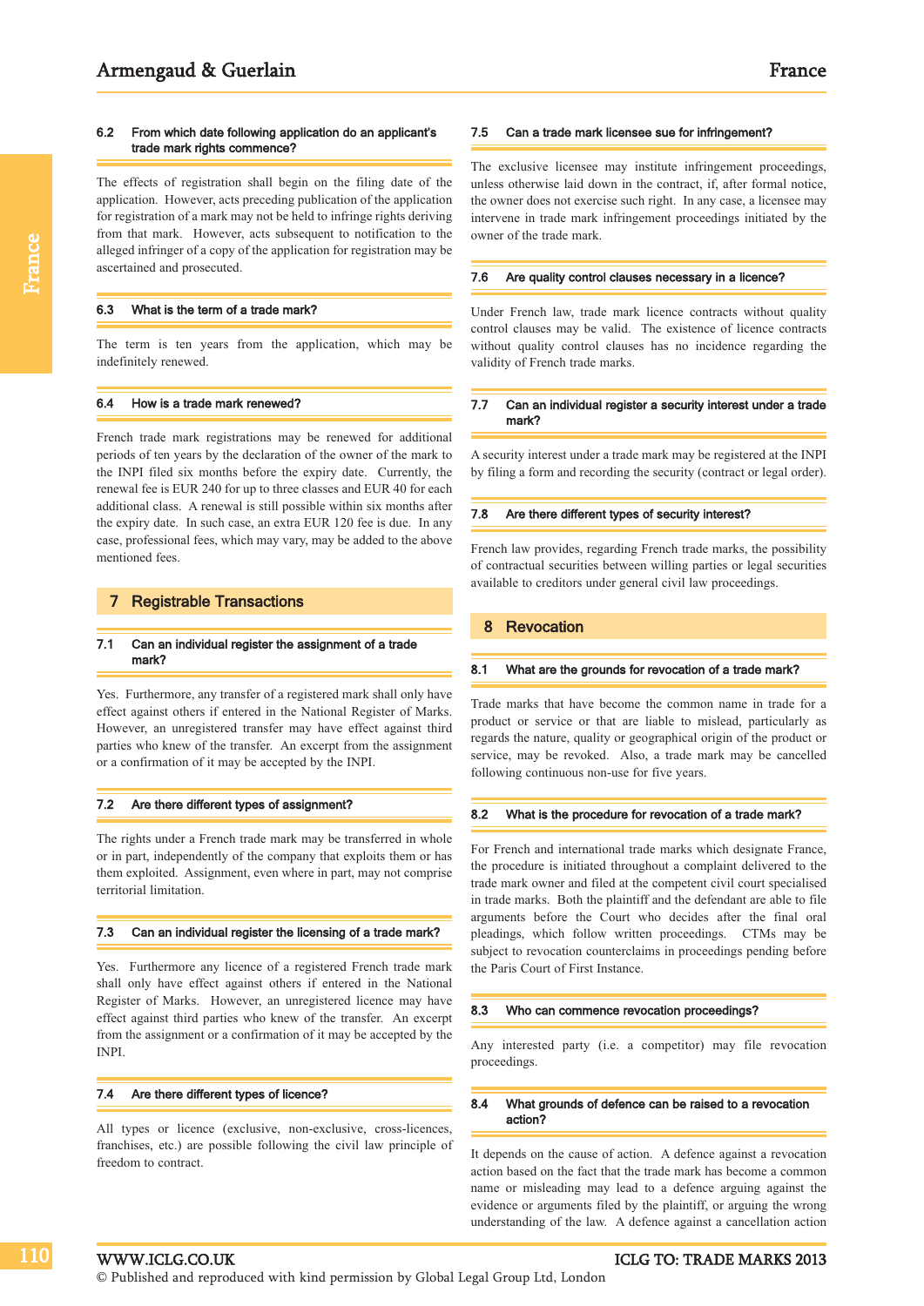#### 6.2 From which date following application do an applicant's trade mark rights commence?

The effects of registration shall begin on the filing date of the application. However, acts preceding publication of the application for registration of a mark may not be held to infringe rights deriving from that mark. However, acts subsequent to notification to the alleged infringer of a copy of the application for registration may be ascertained and prosecuted.

#### 6.3 What is the term of a trade mark?

France

The term is ten years from the application, which may be indefinitely renewed.

#### 6.4 How is a trade mark renewed?

French trade mark registrations may be renewed for additional periods of ten years by the declaration of the owner of the mark to the INPI filed six months before the expiry date. Currently, the renewal fee is EUR 240 for up to three classes and EUR 40 for each additional class. A renewal is still possible within six months after the expiry date. In such case, an extra EUR 120 fee is due. In any case, professional fees, which may vary, may be added to the above mentioned fees.

#### 7 Registrable Transactions

#### 7.1 Can an individual register the assignment of a trade mark?

Yes. Furthermore, any transfer of a registered mark shall only have effect against others if entered in the National Register of Marks. However, an unregistered transfer may have effect against third parties who knew of the transfer. An excerpt from the assignment or a confirmation of it may be accepted by the INPI.

#### 7.2 Are there different types of assignment?

The rights under a French trade mark may be transferred in whole or in part, independently of the company that exploits them or has them exploited. Assignment, even where in part, may not comprise territorial limitation.

#### 7.3 Can an individual register the licensing of a trade mark?

Yes. Furthermore any licence of a registered French trade mark shall only have effect against others if entered in the National Register of Marks. However, an unregistered licence may have effect against third parties who knew of the transfer. An excerpt from the assignment or a confirmation of it may be accepted by the INPI.

#### 7.4 Are there different types of licence?

All types or licence (exclusive, non-exclusive, cross-licences, franchises, etc.) are possible following the civil law principle of freedom to contract.

#### 7.5 Can a trade mark licensee sue for infringement?

The exclusive licensee may institute infringement proceedings, unless otherwise laid down in the contract, if, after formal notice, the owner does not exercise such right. In any case, a licensee may intervene in trade mark infringement proceedings initiated by the owner of the trade mark.

#### 7.6 Are quality control clauses necessary in a licence?

Under French law, trade mark licence contracts without quality control clauses may be valid. The existence of licence contracts without quality control clauses has no incidence regarding the validity of French trade marks.

#### 7.7 Can an individual register a security interest under a trade mark?

A security interest under a trade mark may be registered at the INPI by filing a form and recording the security (contract or legal order).

#### 7.8 Are there different types of security interest?

French law provides, regarding French trade marks, the possibility of contractual securities between willing parties or legal securities available to creditors under general civil law proceedings.

#### 8 Revocation

#### 8.1 What are the grounds for revocation of a trade mark?

Trade marks that have become the common name in trade for a product or service or that are liable to mislead, particularly as regards the nature, quality or geographical origin of the product or service, may be revoked. Also, a trade mark may be cancelled following continuous non-use for five years.

#### 8.2 What is the procedure for revocation of a trade mark?

For French and international trade marks which designate France, the procedure is initiated throughout a complaint delivered to the trade mark owner and filed at the competent civil court specialised in trade marks. Both the plaintiff and the defendant are able to file arguments before the Court who decides after the final oral pleadings, which follow written proceedings. CTMs may be subject to revocation counterclaims in proceedings pending before the Paris Court of First Instance.

#### 8.3 Who can commence revocation proceedings?

Any interested party (i.e. a competitor) may file revocation proceedings.

#### 8.4 What grounds of defence can be raised to a revocation action?

It depends on the cause of action. A defence against a revocation action based on the fact that the trade mark has become a common name or misleading may lead to a defence arguing against the evidence or arguments filed by the plaintiff, or arguing the wrong understanding of the law. A defence against a cancellation action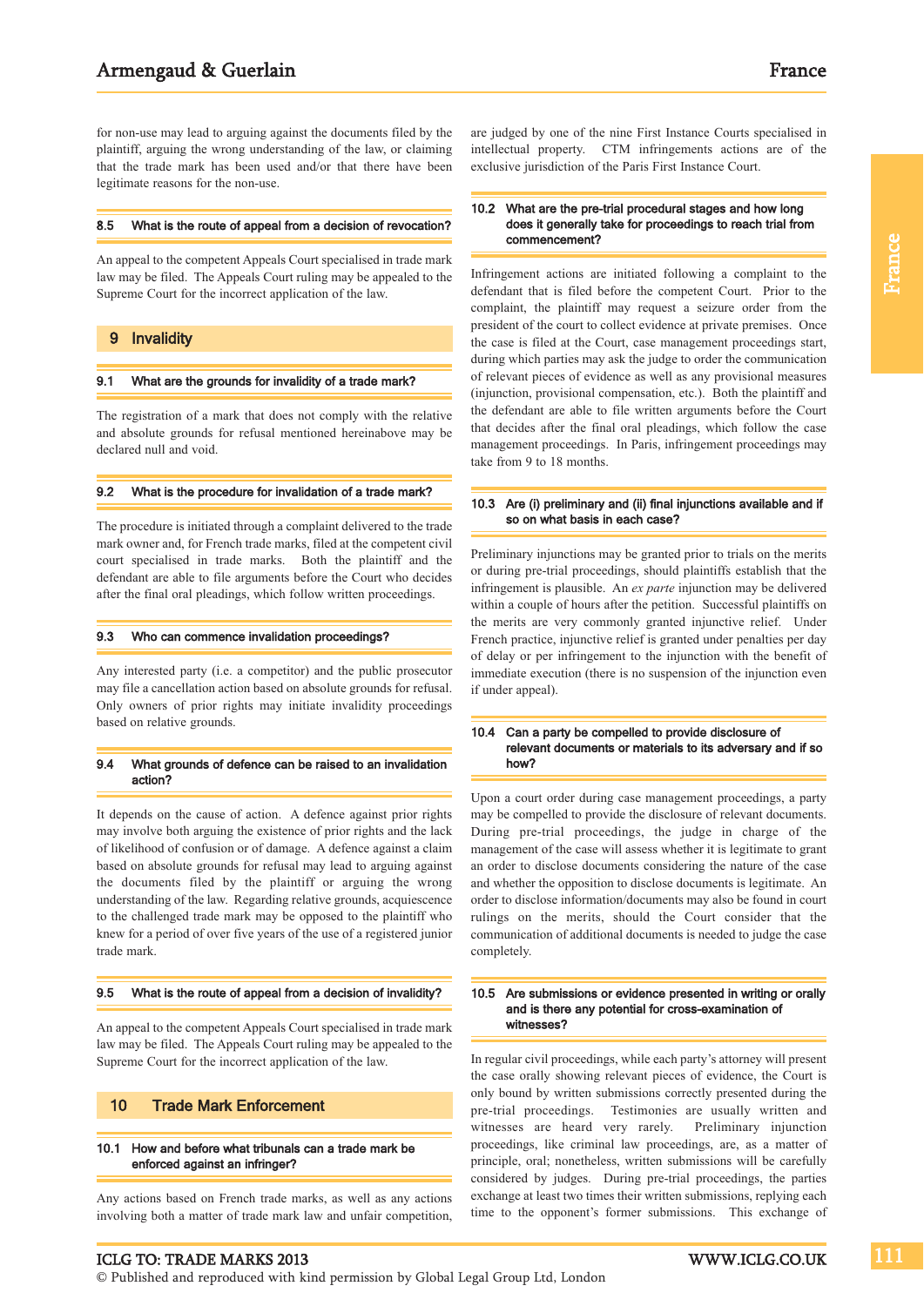for non-use may lead to arguing against the documents filed by the plaintiff, arguing the wrong understanding of the law, or claiming that the trade mark has been used and/or that there have been legitimate reasons for the non-use.

#### 8.5 What is the route of appeal from a decision of revocation?

An appeal to the competent Appeals Court specialised in trade mark law may be filed. The Appeals Court ruling may be appealed to the Supreme Court for the incorrect application of the law.

### 9 Invalidity

#### 9.1 What are the grounds for invalidity of a trade mark?

The registration of a mark that does not comply with the relative and absolute grounds for refusal mentioned hereinabove may be declared null and void.

#### 9.2 What is the procedure for invalidation of a trade mark?

The procedure is initiated through a complaint delivered to the trade mark owner and, for French trade marks, filed at the competent civil court specialised in trade marks. Both the plaintiff and the defendant are able to file arguments before the Court who decides after the final oral pleadings, which follow written proceedings.

#### 9.3 Who can commence invalidation proceedings?

Any interested party (i.e. a competitor) and the public prosecutor may file a cancellation action based on absolute grounds for refusal. Only owners of prior rights may initiate invalidity proceedings based on relative grounds.

#### 9.4 What grounds of defence can be raised to an invalidation action?

It depends on the cause of action. A defence against prior rights may involve both arguing the existence of prior rights and the lack of likelihood of confusion or of damage. A defence against a claim based on absolute grounds for refusal may lead to arguing against the documents filed by the plaintiff or arguing the wrong understanding of the law. Regarding relative grounds, acquiescence to the challenged trade mark may be opposed to the plaintiff who knew for a period of over five years of the use of a registered junior trade mark.

### 9.5 What is the route of appeal from a decision of invalidity?

An appeal to the competent Appeals Court specialised in trade mark law may be filed. The Appeals Court ruling may be appealed to the Supreme Court for the incorrect application of the law.

## 10 Trade Mark Enforcement

#### 10.1 How and before what tribunals can a trade mark be enforced against an infringer?

Any actions based on French trade marks, as well as any actions involving both a matter of trade mark law and unfair competition, are judged by one of the nine First Instance Courts specialised in intellectual property. CTM infringements actions are of the exclusive jurisdiction of the Paris First Instance Court.

#### 10.2 What are the pre-trial procedural stages and how long does it generally take for proceedings to reach trial from commencement?

Infringement actions are initiated following a complaint to the defendant that is filed before the competent Court. Prior to the complaint, the plaintiff may request a seizure order from the president of the court to collect evidence at private premises. Once the case is filed at the Court, case management proceedings start, during which parties may ask the judge to order the communication of relevant pieces of evidence as well as any provisional measures (injunction, provisional compensation, etc.). Both the plaintiff and the defendant are able to file written arguments before the Court that decides after the final oral pleadings, which follow the case management proceedings. In Paris, infringement proceedings may take from 9 to 18 months.

#### 10.3 Are (i) preliminary and (ii) final injunctions available and if so on what basis in each case?

Preliminary injunctions may be granted prior to trials on the merits or during pre-trial proceedings, should plaintiffs establish that the infringement is plausible. An *ex parte* injunction may be delivered within a couple of hours after the petition. Successful plaintiffs on the merits are very commonly granted injunctive relief. Under French practice, injunctive relief is granted under penalties per day of delay or per infringement to the injunction with the benefit of immediate execution (there is no suspension of the injunction even if under appeal).

#### 10.4 Can a party be compelled to provide disclosure of relevant documents or materials to its adversary and if so how?

Upon a court order during case management proceedings, a party may be compelled to provide the disclosure of relevant documents. During pre-trial proceedings, the judge in charge of the management of the case will assess whether it is legitimate to grant an order to disclose documents considering the nature of the case and whether the opposition to disclose documents is legitimate. An order to disclose information/documents may also be found in court rulings on the merits, should the Court consider that the communication of additional documents is needed to judge the case completely.

#### 10.5 Are submissions or evidence presented in writing or orally and is there any potential for cross-examination of witnesses?

In regular civil proceedings, while each party's attorney will present the case orally showing relevant pieces of evidence, the Court is only bound by written submissions correctly presented during the pre-trial proceedings. Testimonies are usually written and witnesses are heard very rarely. Preliminary injunction proceedings, like criminal law proceedings, are, as a matter of principle, oral; nonetheless, written submissions will be carefully considered by judges. During pre-trial proceedings, the parties exchange at least two times their written submissions, replying each time to the opponent's former submissions. This exchange of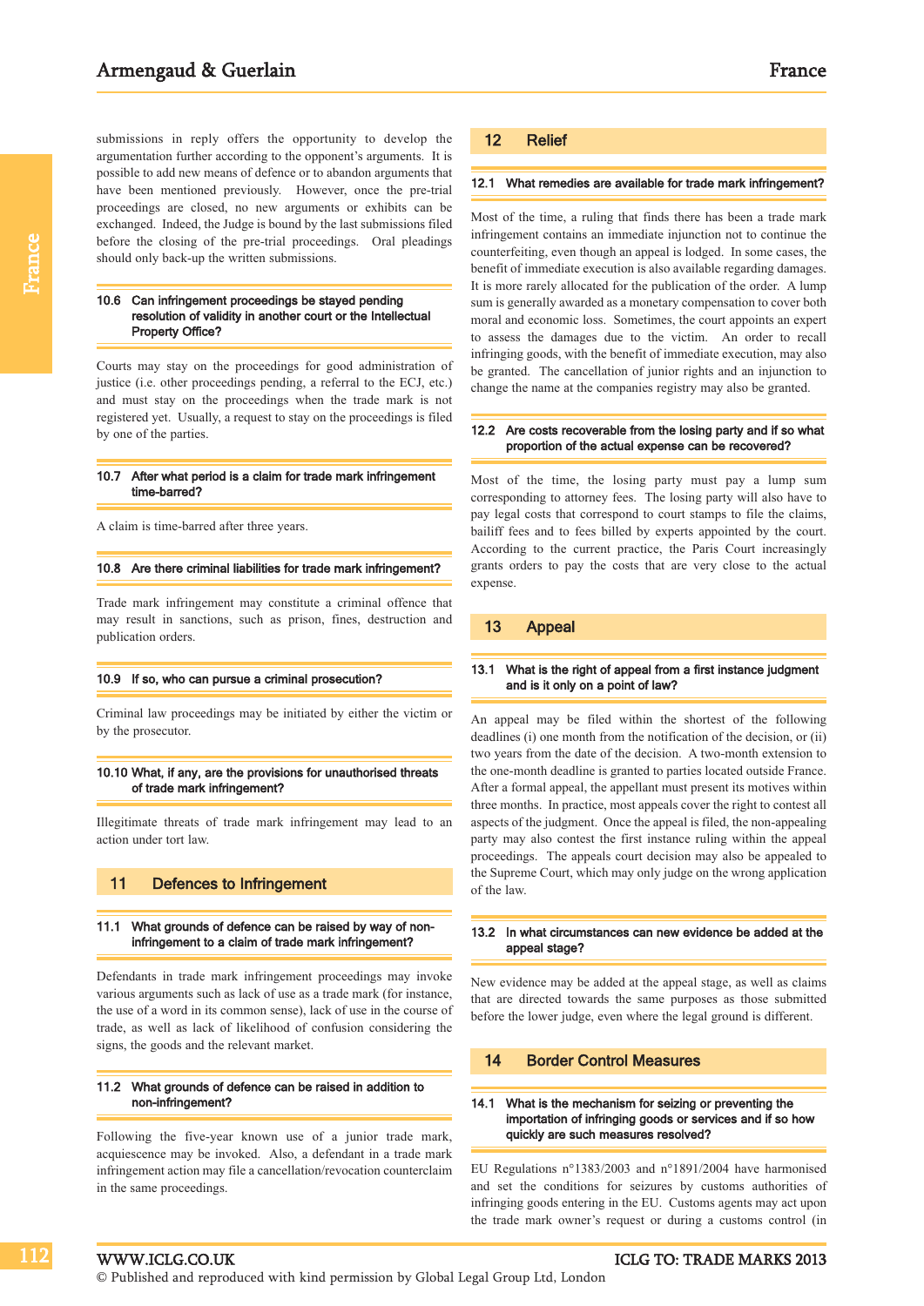submissions in reply offers the opportunity to develop the argumentation further according to the opponent's arguments. It is possible to add new means of defence or to abandon arguments that have been mentioned previously. However, once the pre-trial proceedings are closed, no new arguments or exhibits can be exchanged. Indeed, the Judge is bound by the last submissions filed before the closing of the pre-trial proceedings. Oral pleadings should only back-up the written submissions.

#### 10.6 Can infringement proceedings be stayed pending resolution of validity in another court or the Intellectual Property Office?

Courts may stay on the proceedings for good administration of justice (i.e. other proceedings pending, a referral to the ECJ, etc.) and must stay on the proceedings when the trade mark is not registered yet. Usually, a request to stay on the proceedings is filed by one of the parties.

#### 10.7 After what period is a claim for trade mark infringement time-barred?

A claim is time-barred after three years.

#### 10.8 Are there criminal liabilities for trade mark infringement?

Trade mark infringement may constitute a criminal offence that may result in sanctions, such as prison, fines, destruction and publication orders.

#### 10.9 If so, who can pursue a criminal prosecution?

Criminal law proceedings may be initiated by either the victim or by the prosecutor.

#### 10.10 What, if any, are the provisions for unauthorised threats of trade mark infringement?

Illegitimate threats of trade mark infringement may lead to an action under tort law.

#### 11 Defences to Infringement

#### 11.1 What grounds of defence can be raised by way of noninfringement to a claim of trade mark infringement?

Defendants in trade mark infringement proceedings may invoke various arguments such as lack of use as a trade mark (for instance, the use of a word in its common sense), lack of use in the course of trade, as well as lack of likelihood of confusion considering the signs, the goods and the relevant market.

#### 11.2 What grounds of defence can be raised in addition to non-infringement?

Following the five-year known use of a junior trade mark, acquiescence may be invoked. Also, a defendant in a trade mark infringement action may file a cancellation/revocation counterclaim in the same proceedings.

#### 12 Relief

#### 12.1 What remedies are available for trade mark infringement?

Most of the time, a ruling that finds there has been a trade mark infringement contains an immediate injunction not to continue the counterfeiting, even though an appeal is lodged. In some cases, the benefit of immediate execution is also available regarding damages. It is more rarely allocated for the publication of the order. A lump sum is generally awarded as a monetary compensation to cover both moral and economic loss. Sometimes, the court appoints an expert to assess the damages due to the victim. An order to recall infringing goods, with the benefit of immediate execution, may also be granted. The cancellation of junior rights and an injunction to change the name at the companies registry may also be granted.

#### 12.2 Are costs recoverable from the losing party and if so what proportion of the actual expense can be recovered?

Most of the time, the losing party must pay a lump sum corresponding to attorney fees. The losing party will also have to pay legal costs that correspond to court stamps to file the claims, bailiff fees and to fees billed by experts appointed by the court. According to the current practice, the Paris Court increasingly grants orders to pay the costs that are very close to the actual expense.

#### 13 Appeal

#### 13.1 What is the right of appeal from a first instance judgment and is it only on a point of law?

An appeal may be filed within the shortest of the following deadlines (i) one month from the notification of the decision, or (ii) two years from the date of the decision. A two-month extension to the one-month deadline is granted to parties located outside France. After a formal appeal, the appellant must present its motives within three months. In practice, most appeals cover the right to contest all aspects of the judgment. Once the appeal is filed, the non-appealing party may also contest the first instance ruling within the appeal proceedings. The appeals court decision may also be appealed to the Supreme Court, which may only judge on the wrong application of the law.

#### 13.2 In what circumstances can new evidence be added at the appeal stage?

New evidence may be added at the appeal stage, as well as claims that are directed towards the same purposes as those submitted before the lower judge, even where the legal ground is different.

#### 14 Border Control Measures

#### 14.1 What is the mechanism for seizing or preventing the importation of infringing goods or services and if so how quickly are such measures resolved?

EU Regulations n°1383/2003 and n°1891/2004 have harmonised and set the conditions for seizures by customs authorities of infringing goods entering in the EU. Customs agents may act upon the trade mark owner's request or during a customs control (in

112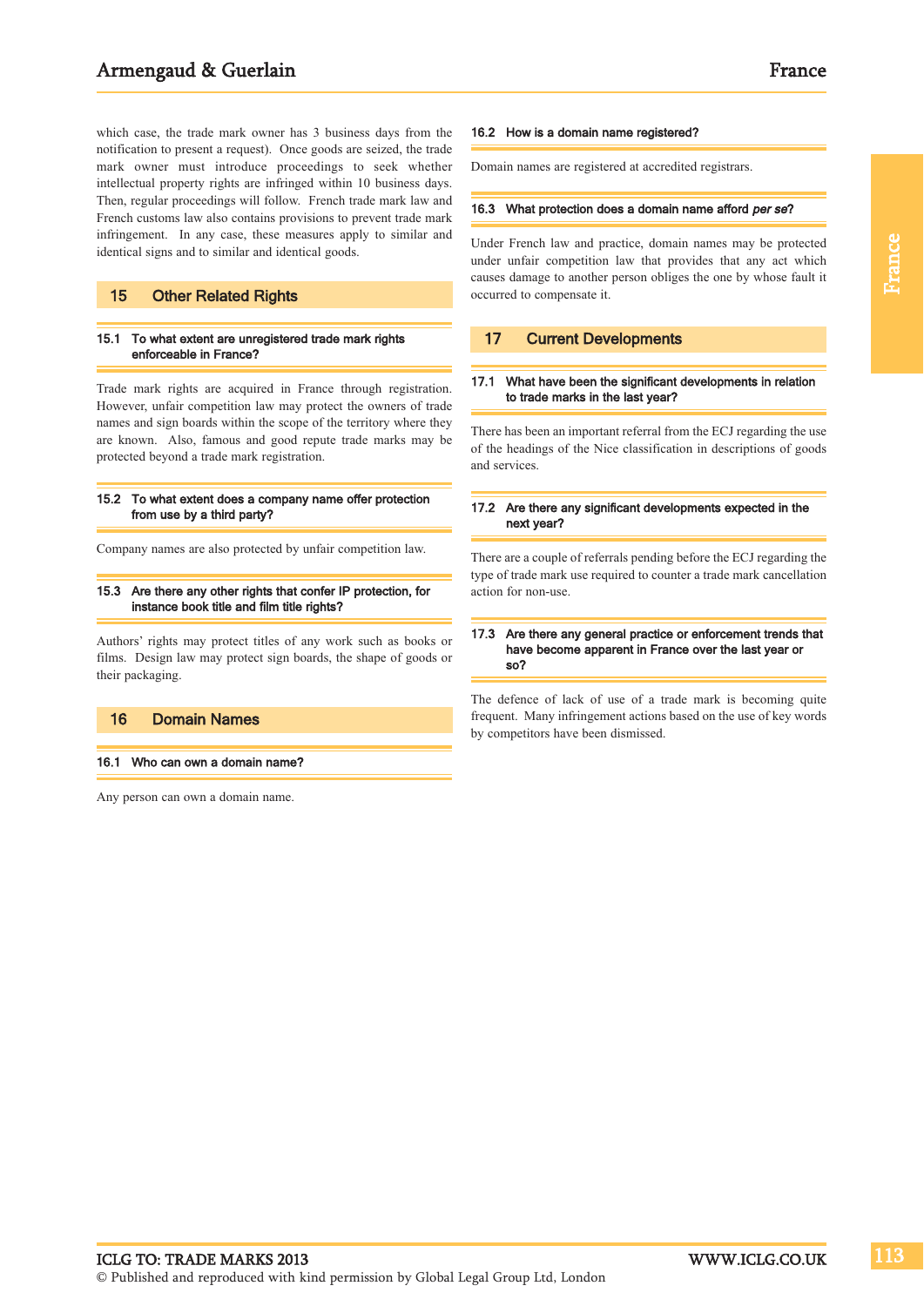# Armengaud & Guerlain France

which case, the trade mark owner has 3 business days from the notification to present a request). Once goods are seized, the trade mark owner must introduce proceedings to seek whether intellectual property rights are infringed within 10 business days. Then, regular proceedings will follow. French trade mark law and French customs law also contains provisions to prevent trade mark infringement. In any case, these measures apply to similar and identical signs and to similar and identical goods.

#### 15 Other Related Rights

#### 15.1 To what extent are unregistered trade mark rights enforceable in France?

Trade mark rights are acquired in France through registration. However, unfair competition law may protect the owners of trade names and sign boards within the scope of the territory where they are known. Also, famous and good repute trade marks may be protected beyond a trade mark registration.

#### 15.2 To what extent does a company name offer protection from use by a third party?

Company names are also protected by unfair competition law.

#### 15.3 Are there any other rights that confer IP protection, for instance book title and film title rights?

Authors' rights may protect titles of any work such as books or films. Design law may protect sign boards, the shape of goods or their packaging.

#### 16 Domain Names

#### 16.1 Who can own a domain name?

Any person can own a domain name.

#### 16.2 How is a domain name registered?

Domain names are registered at accredited registrars.

#### 16.3 What protection does a domain name afford per se?

Under French law and practice, domain names may be protected under unfair competition law that provides that any act which causes damage to another person obliges the one by whose fault it occurred to compensate it.

#### 17 Current Developments

#### 17.1 What have been the significant developments in relation to trade marks in the last year?

There has been an important referral from the ECJ regarding the use of the headings of the Nice classification in descriptions of goods and services.

#### 17.2 Are there any significant developments expected in the next year?

There are a couple of referrals pending before the ECJ regarding the type of trade mark use required to counter a trade mark cancellation action for non-use.

#### 17.3 Are there any general practice or enforcement trends that have become apparent in France over the last year or so?

The defence of lack of use of a trade mark is becoming quite frequent. Many infringement actions based on the use of key words by competitors have been dismissed.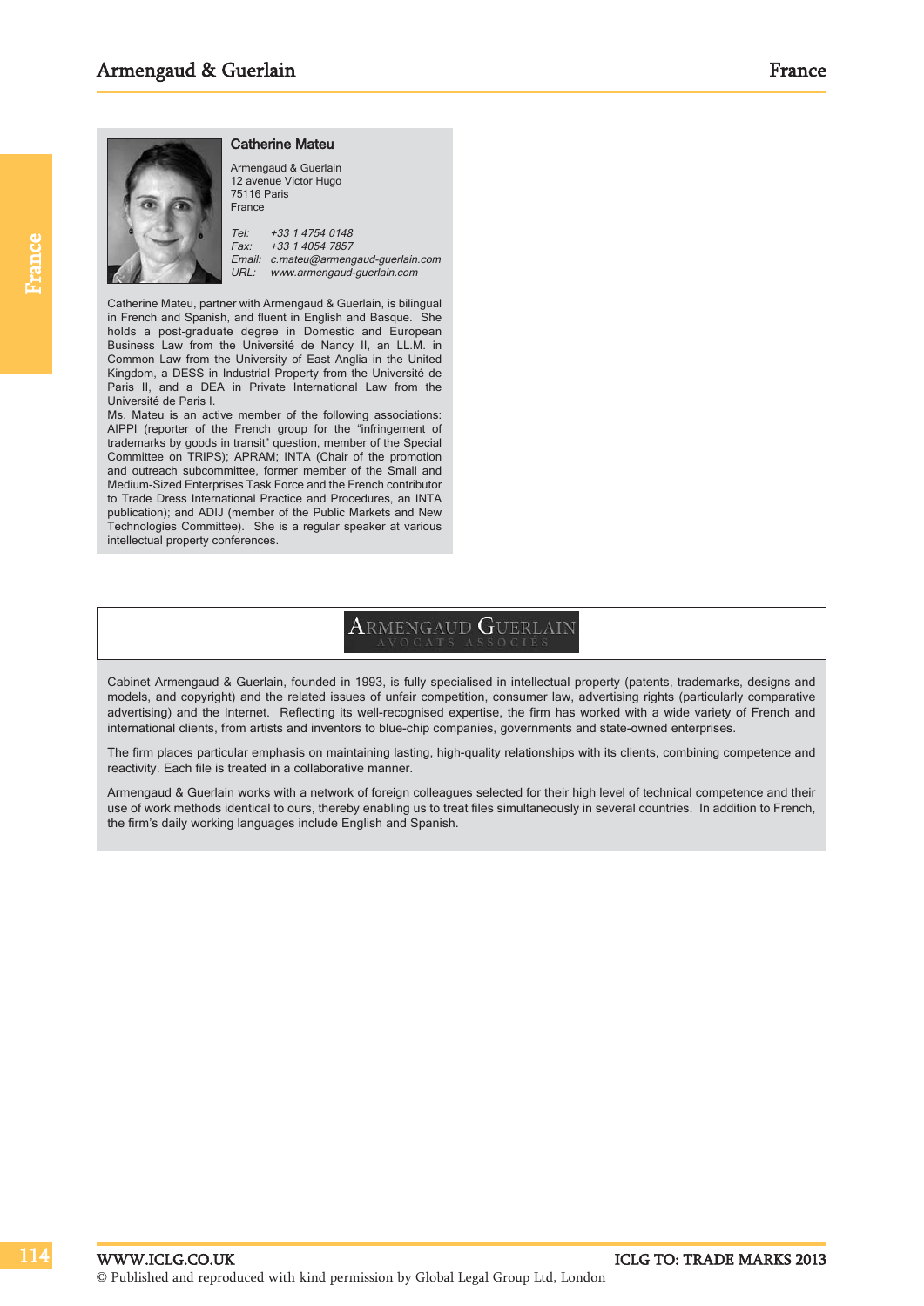114

#### Catherine Mateu



Armengaud & Guerlain 12 avenue Victor Hugo 75116 Paris France Tel: +33 1 4754 0148

Fax: +33 1 4054 7857 Email: c.mateu@armengaud-guerlain.com URL: www.armengaud-guerlain.com

Catherine Mateu, partner with Armengaud & Guerlain, is bilingual in French and Spanish, and fluent in English and Basque. She holds a post-graduate degree in Domestic and European Business Law from the Université de Nancy II, an LL.M. in Common Law from the University of East Anglia in the United Kingdom, a DESS in Industrial Property from the Université de Paris II, and a DEA in Private International Law from the Université de Paris I.

Ms. Mateu is an active member of the following associations: AIPPI (reporter of the French group for the "infringement of trademarks by goods in transit" question, member of the Special Committee on TRIPS); APRAM; INTA (Chair of the promotion and outreach subcommittee, former member of the Small and Medium-Sized Enterprises Task Force and the French contributor to Trade Dress International Practice and Procedures, an INTA publication); and ADIJ (member of the Public Markets and New Technologies Committee). She is a regular speaker at various intellectual property conferences.

# ARMENGAUD GUERLAIN

Cabinet Armengaud & Guerlain, founded in 1993, is fully specialised in intellectual property (patents, trademarks, designs and models, and copyright) and the related issues of unfair competition, consumer law, advertising rights (particularly comparative advertising) and the Internet. Reflecting its well-recognised expertise, the firm has worked with a wide variety of French and international clients, from artists and inventors to blue-chip companies, governments and state-owned enterprises.

The firm places particular emphasis on maintaining lasting, high-quality relationships with its clients, combining competence and reactivity. Each file is treated in a collaborative manner.

Armengaud & Guerlain works with a network of foreign colleagues selected for their high level of technical competence and their use of work methods identical to ours, thereby enabling us to treat files simultaneously in several countries. In addition to French, the firm's daily working languages include English and Spanish.